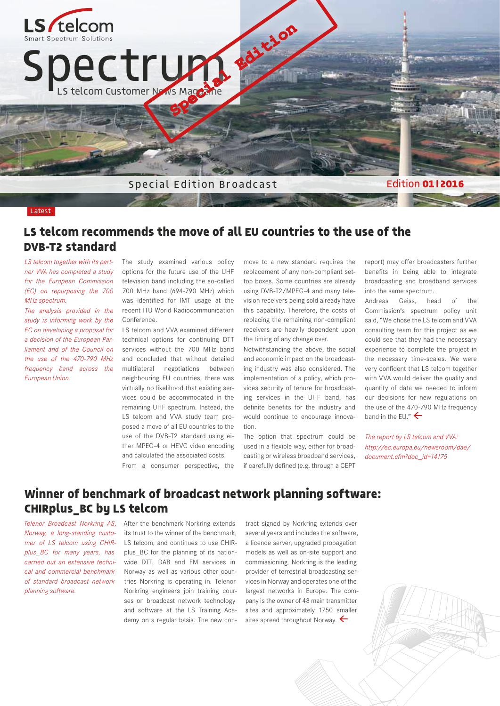

#### Latest

### **LS telcom recommends the move of all EU countries to the use of the DVB-T2 standard**

*LS telcom together with its partner VVA has completed a study for the European Commission (EC) on repurposing the 700 MHz spectrum.* 

*The analysis provided in the study is informing work by the EC on developing a proposal for a decision of the European Parliament and of the Council on the use of the 470-790 MHz frequency band across the European Union.* 

The study examined various policy options for the future use of the UHF television band including the so-called 700 MHz band (694-790 MHz) which was identified for IMT usage at the recent ITU World Radiocommunication Conference.

LS telcom and VVA examined different technical options for continuing DTT services without the 700 MHz band and concluded that without detailed multilateral negotiations between neighbouring EU countries, there was virtually no likelihood that existing services could be accommodated in the remaining UHF spectrum. Instead, the LS telcom and VVA study team proposed a move of all EU countries to the use of the DVB-T2 standard using either MPEG-4 or HEVC video encoding and calculated the associated costs.

move to a new standard requires the replacement of any non-compliant settop boxes. Some countries are already using DVB-T2/MPEG-4 and many television receivers being sold already have this capability. Therefore, the costs of replacing the remaining non-compliant receivers are heavily dependent upon the timing of any change over.

Notwithstanding the above, the social and economic impact on the broadcasting industry was also considered. The implementation of a policy, which provides security of tenure for broadcasting services in the UHF band, has definite benefits for the industry and would continue to encourage innovation.

The option that spectrum could be used in a flexible way, either for broadcasting or wireless broadband services, if carefully defined (e.g. through a CEPT

report) may offer broadcasters further benefits in being able to integrate broadcasting and broadband services into the same spectrum.

Andreas Geiss, head of the Commission's spectrum policy unit said, "We chose the LS telcom and VVA consulting team for this project as we could see that they had the necessary experience to complete the project in the necessary time-scales. We were very confident that LS telcom together with VVA would deliver the quality and quantity of data we needed to inform our decisions for new regulations on the use of the 470-790 MHz frequency band in the EU."  $\leftarrow$ 

*The report by LS telcom and VVA: http://ec.europa.eu/newsroom/dae/ document.cfm?doc\_id=14175*

From a consumer perspective, the

**Winner of benchmark of broadcast network planning software: CHIRplus\_BC by LS telcom** 

*Telenor Broadcast Norkring AS, Norway, a long-standing customer of LS telcom using CHIRplus\_BC for many years, has carried out an extensive technical and commercial benchmark of standard broadcast network planning software.* 

After the benchmark Norkring extends its trust to the winner of the benchmark, LS telcom, and continues to use CHIRplus\_BC for the planning of its nationwide DTT, DAB and FM services in Norway as well as various other countries Norkring is operating in. Telenor Norkring engineers join training courses on broadcast network technology and software at the LS Training Academy on a regular basis. The new contract signed by Norkring extends over several years and includes the software, a licence server, upgraded propagation models as well as on-site support and commissioning. Norkring is the leading provider of terrestrial broadcasting services in Norway and operates one of the largest networks in Europe. The company is the owner of 48 main transmitter sites and approximately 1750 smaller sites spread throughout Norway.  $\leftarrow$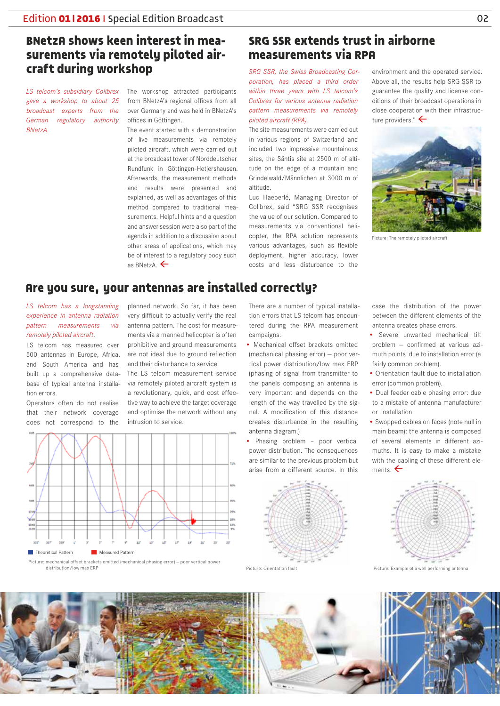# **BNetzA shows keen interest in measurements via remotely piloted aircraft during workshop**

*LS telcom's subsidiary Colibrex gave a workshop to about 25 broadcast experts from the German regulatory authority BNetzA.*

The workshop attracted participants from BNetzA's regional offices from all over Germany and was held in BNetzA's offices in Göttingen.

The event started with a demonstration of live measurements via remotely piloted aircraft, which were carried out at the broadcast tower of Norddeutscher Rundfunk in Göttingen-Hetjershausen. Afterwards, the measurement methods and results were presented and explained, as well as advantages of this method compared to traditional measurements. Helpful hints and a question and answer session were also part of the agenda in addition to a discussion about other areas of applications, which may be of interest to a regulatory body such as BNetzA.

# **SRG SSR extends trust in airborne measurements via RPA**

*SRG SSR, the Swiss Broadcasting Corporation, has placed a third order within three years with LS telcom's Colibrex for various antenna radiation pattern measurements via remotely piloted aircraft (RPA).*

The site measurements were carried out in various regions of Switzerland and included two impressive mountainous sites, the Säntis site at 2500 m of altitude on the edge of a mountain and Grindelwald/Männlichen at 3000 m of altitude.

Luc Haeberlé, Managing Director of Colibrex, said "SRG SSR recognises the value of our solution. Compared to measurements via conventional helicopter, the RPA solution represents various advantages, such as flexible deployment, higher accuracy, lower costs and less disturbance to the

environment and the operated service. Above all, the results help SRG SSR to guarantee the quality and license conditions of their broadcast operations in close cooperation with their infrastructure providers."



Picture: The remotely piloted aircraft

### **Are you sure, your antennas are installed correctly?**

*LS telcom has a longstanding experience in antenna radiation pattern measurements via remotely piloted aircraft*.

LS telcom has measured over 500 antennas in Europe, Africa, and South America and has built up a comprehensive database of typical antenna installation errors.

Operators often do not realise that their network coverage does not correspond to the

planned network. So far, it has been very difficult to actually verify the real antenna pattern. The cost for measurements via a manned helicopter is often prohibitive and ground measurements are not ideal due to ground reflection and their disturbance to service.

The LS telcom measurement service via remotely piloted aircraft system is a revolutionary, quick, and cost effective way to achieve the target coverage and optimise the network without any intrusion to service.



Picture: mechanical offset brackets omitted (mechanical phasing error) — poor vertical power distribution/low max ERP

There are a number of typical installation errors that LS telcom has encountered during the RPA measurement campaigns:

- Mechanical offset brackets omitted (mechanical phasing error) — poor vertical power distribution/low max ERP (phasing of signal from transmitter to the panels composing an antenna is very important and depends on the length of the way travelled by the signal. A modification of this distance creates disturbance in the resulting antenna diagram.)
- Phasing problem poor vertical power distribution. The consequences are similar to the previous problem but arise from a different source. In this



case the distribution of the power between the different elements of the antenna creates phase errors.

- Severe unwanted mechanical tilt problem — confirmed at various azimuth points due to installation error (a fairly common problem).
- Orientation fault due to installation error (common problem).
- Dual feeder cable phasing error: due to a mistake of antenna manufacturer or installation.
- Swopped cables on faces (note null in main beam): the antenna is composed of several elements in different azimuths. It is easy to make a mistake with the cabling of these different elements.  $\leftarrow$



Picture: Orientation fault **Picture: Example of a well performing antenna** 

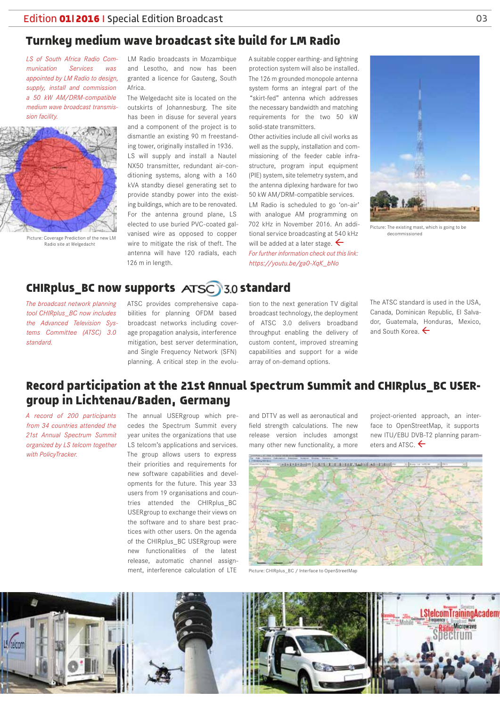## **Turnkey medium wave broadcast site build for LM Radio**

*LS of South Africa Radio Communication Services was appointed by LM Radio to design, supply, install and commission a 50 kW AM/DRM-compatible medium wave broadcast transmission facility.* 



Picture: Coverage Prediction of the new LM Radio site at Welgedacht

LM Radio broadcasts in Mozambique and Lesotho, and now has been granted a licence for Gauteng, South Africa.

The Welgedacht site is located on the outskirts of Johannesburg. The site has been in disuse for several years and a component of the project is to dismantle an existing 90 m freestanding tower, originally installed in 1936. LS will supply and install a Nautel NX50 transmitter, redundant air-conditioning systems, along with a 160 kVA standby diesel generating set to provide standby power into the existing buildings, which are to be renovated. For the antenna ground plane, LS elected to use buried PVC-coated galvanised wire as opposed to copper wire to mitigate the risk of theft. The antenna will have 120 radials, each 126 m in length.

A suitable copper earthing- and lightning protection system will also be installed. The 126 m grounded monopole antenna system forms an integral part of the "skirt-fed" antenna which addresses the necessary bandwidth and matching requirements for the two 50 kW solid-state transmitters.

Other activities include all civil works as well as the supply, installation and commissioning of the feeder cable infrastructure, program input equipment (PIE) system, site telemetry system, and the antenna diplexing hardware for two 50 kW AM/DRM-compatible services. LM Radio is scheduled to go 'on-air' with analogue AM programming on 702 kHz in November 2016. An additional service broadcasting at 540 kHz will be added at a later stage.  $\leftarrow$ *For further information check out this link: https://youtu.be/ga0-XqK\_bNo* 



Picture: The existing mast, which is going to be decommissioned

## **CHIRplus BC now supports ATSC 3.0 standard**

*The broadcast network planning tool CHIRplus\_BC now includes the Advanced Television Systems Committee (ATSC) 3.0 standard.*

ATSC provides comprehensive capabilities for planning OFDM based broadcast networks including coverage propagation analysis, interference mitigation, best server determination, and Single Frequency Network (SFN) planning. A critical step in the evolu-

tion to the next generation TV digital broadcast technology, the deployment of ATSC 3.0 delivers broadband throughput enabling the delivery of custom content, improved streaming capabilities and support for a wide array of on-demand options.

The ATSC standard is used in the USA, Canada, Dominican Republic, El Salvador, Guatemala, Honduras, Mexico, and South Korea.

### **Record participation at the 21st Annual Spectrum Summit and CHIRplus\_BC USERgroup in Lichtenau/Baden, Germany**

*A record of 200 participants from 34 countries attended the 21st Annual Spectrum Summit organized by LS telcom together with PolicyTracker.* 

The annual USERgroup which precedes the Spectrum Summit every year unites the organizations that use LS telcom's applications and services. The group allows users to express their priorities and requirements for new software capabilities and developments for the future. This year 33 users from 19 organisations and countries attended the CHIRplus\_BC USERgroup to exchange their views on the software and to share best practices with other users. On the agenda of the CHIRplus\_BC USERgroup were new functionalities of the latest release, automatic channel assignment, interference calculation of LTE

and DTTV as well as aeronautical and field strength calculations. The new release version includes amongst many other new functionality, a more

project-oriented approach, an interface to OpenStreetMap, it supports new ITU/EBU DVB-T2 planning parameters and ATSC.



Picture: CHIRplus\_BC / Interface to OpenStreetMap